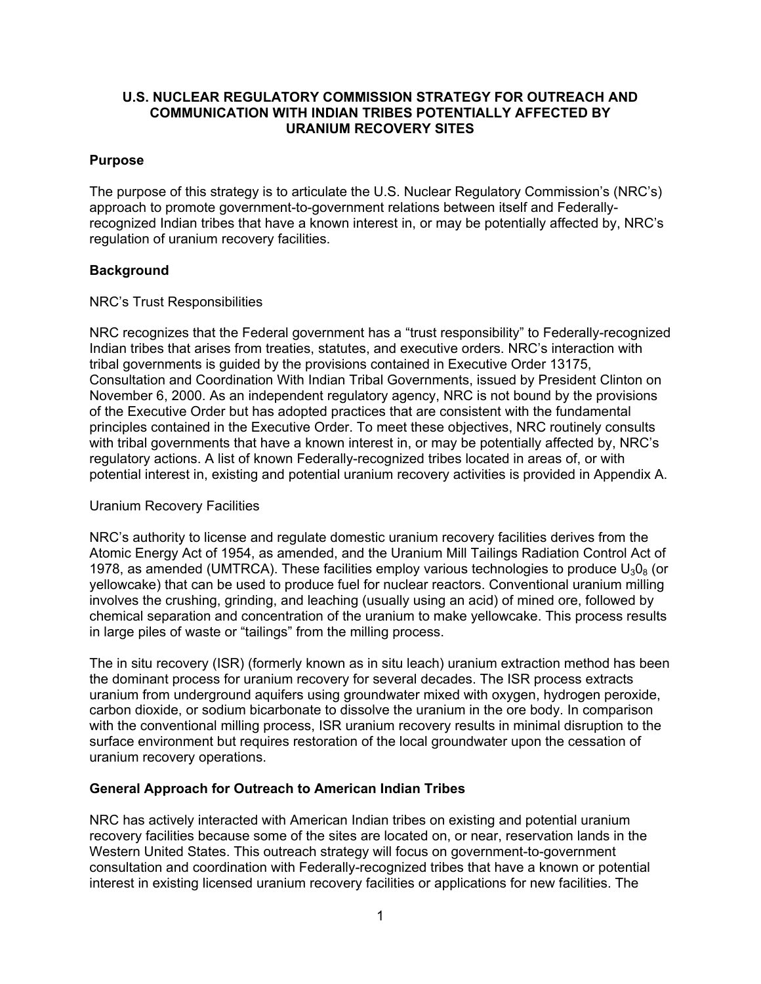### **U.S. NUCLEAR REGULATORY COMMISSION STRATEGY FOR OUTREACH AND COMMUNICATION WITH INDIAN TRIBES POTENTIALLY AFFECTED BY URANIUM RECOVERY SITES**

# **Purpose**

The purpose of this strategy is to articulate the U.S. Nuclear Regulatory Commission's (NRC's) approach to promote government-to-government relations between itself and Federallyrecognized Indian tribes that have a known interest in, or may be potentially affected by, NRC's regulation of uranium recovery facilities.

# **Background**

#### NRC's Trust Responsibilities

NRC recognizes that the Federal government has a "trust responsibility" to Federally-recognized Indian tribes that arises from treaties, statutes, and executive orders. NRC's interaction with tribal governments is guided by the provisions contained in Executive Order 13175, Consultation and Coordination With Indian Tribal Governments, issued by President Clinton on November 6, 2000. As an independent regulatory agency, NRC is not bound by the provisions of the Executive Order but has adopted practices that are consistent with the fundamental principles contained in the Executive Order. To meet these objectives, NRC routinely consults with tribal governments that have a known interest in, or may be potentially affected by, NRC's regulatory actions. A list of known Federally-recognized tribes located in areas of, or with potential interest in, existing and potential uranium recovery activities is provided in Appendix A.

# Uranium Recovery Facilities

NRC's authority to license and regulate domestic uranium recovery facilities derives from the Atomic Energy Act of 1954, as amended, and the Uranium Mill Tailings Radiation Control Act of 1978, as amended (UMTRCA). These facilities employ various technologies to produce  $U_3O_8$  (or yellowcake) that can be used to produce fuel for nuclear reactors. Conventional uranium milling involves the crushing, grinding, and leaching (usually using an acid) of mined ore, followed by chemical separation and concentration of the uranium to make yellowcake. This process results in large piles of waste or "tailings" from the milling process.

The in situ recovery (ISR) (formerly known as in situ leach) uranium extraction method has been the dominant process for uranium recovery for several decades. The ISR process extracts uranium from underground aquifers using groundwater mixed with oxygen, hydrogen peroxide, carbon dioxide, or sodium bicarbonate to dissolve the uranium in the ore body. In comparison with the conventional milling process, ISR uranium recovery results in minimal disruption to the surface environment but requires restoration of the local groundwater upon the cessation of uranium recovery operations.

#### **General Approach for Outreach to American Indian Tribes**

NRC has actively interacted with American Indian tribes on existing and potential uranium recovery facilities because some of the sites are located on, or near, reservation lands in the Western United States. This outreach strategy will focus on government-to-government consultation and coordination with Federally-recognized tribes that have a known or potential interest in existing licensed uranium recovery facilities or applications for new facilities. The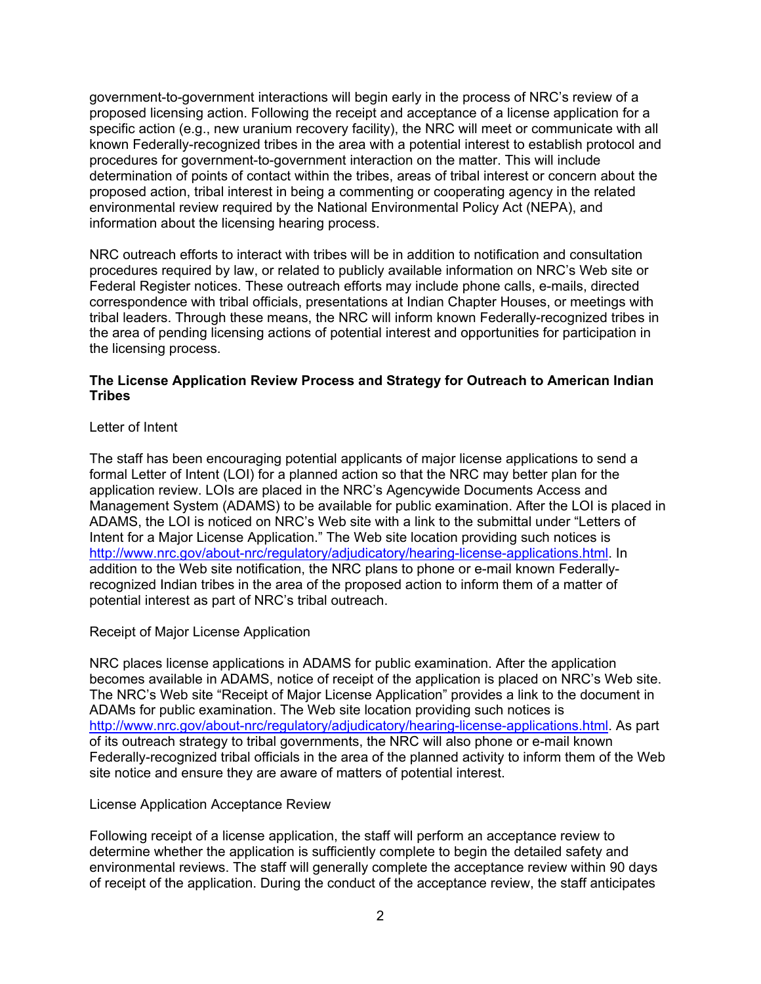government-to-government interactions will begin early in the process of NRC's review of a proposed licensing action. Following the receipt and acceptance of a license application for a specific action (e.g., new uranium recovery facility), the NRC will meet or communicate with all known Federally-recognized tribes in the area with a potential interest to establish protocol and procedures for government-to-government interaction on the matter. This will include determination of points of contact within the tribes, areas of tribal interest or concern about the proposed action, tribal interest in being a commenting or cooperating agency in the related environmental review required by the National Environmental Policy Act (NEPA), and information about the licensing hearing process.

NRC outreach efforts to interact with tribes will be in addition to notification and consultation procedures required by law, or related to publicly available information on NRC's Web site or Federal Register notices. These outreach efforts may include phone calls, e-mails, directed correspondence with tribal officials, presentations at Indian Chapter Houses, or meetings with tribal leaders. Through these means, the NRC will inform known Federally-recognized tribes in the area of pending licensing actions of potential interest and opportunities for participation in the licensing process.

# **The License Application Review Process and Strategy for Outreach to American Indian Tribes**

# Letter of Intent

The staff has been encouraging potential applicants of major license applications to send a formal Letter of Intent (LOI) for a planned action so that the NRC may better plan for the application review. LOIs are placed in the NRC's Agencywide Documents Access and Management System (ADAMS) to be available for public examination. After the LOI is placed in ADAMS, the LOI is noticed on NRC's Web site with a link to the submittal under "Letters of Intent for a Major License Application." The Web site location providing such notices is http://www.nrc.gov/about-nrc/regulatory/adjudicatory/hearing-license-applications.html. In addition to the Web site notification, the NRC plans to phone or e-mail known Federallyrecognized Indian tribes in the area of the proposed action to inform them of a matter of potential interest as part of NRC's tribal outreach.

#### Receipt of Major License Application

NRC places license applications in ADAMS for public examination. After the application becomes available in ADAMS, notice of receipt of the application is placed on NRC's Web site. The NRC's Web site "Receipt of Major License Application" provides a link to the document in ADAMs for public examination. The Web site location providing such notices is http://www.nrc.gov/about-nrc/regulatory/adjudicatory/hearing-license-applications.html. As part of its outreach strategy to tribal governments, the NRC will also phone or e-mail known Federally-recognized tribal officials in the area of the planned activity to inform them of the Web site notice and ensure they are aware of matters of potential interest.

#### License Application Acceptance Review

Following receipt of a license application, the staff will perform an acceptance review to determine whether the application is sufficiently complete to begin the detailed safety and environmental reviews. The staff will generally complete the acceptance review within 90 days of receipt of the application. During the conduct of the acceptance review, the staff anticipates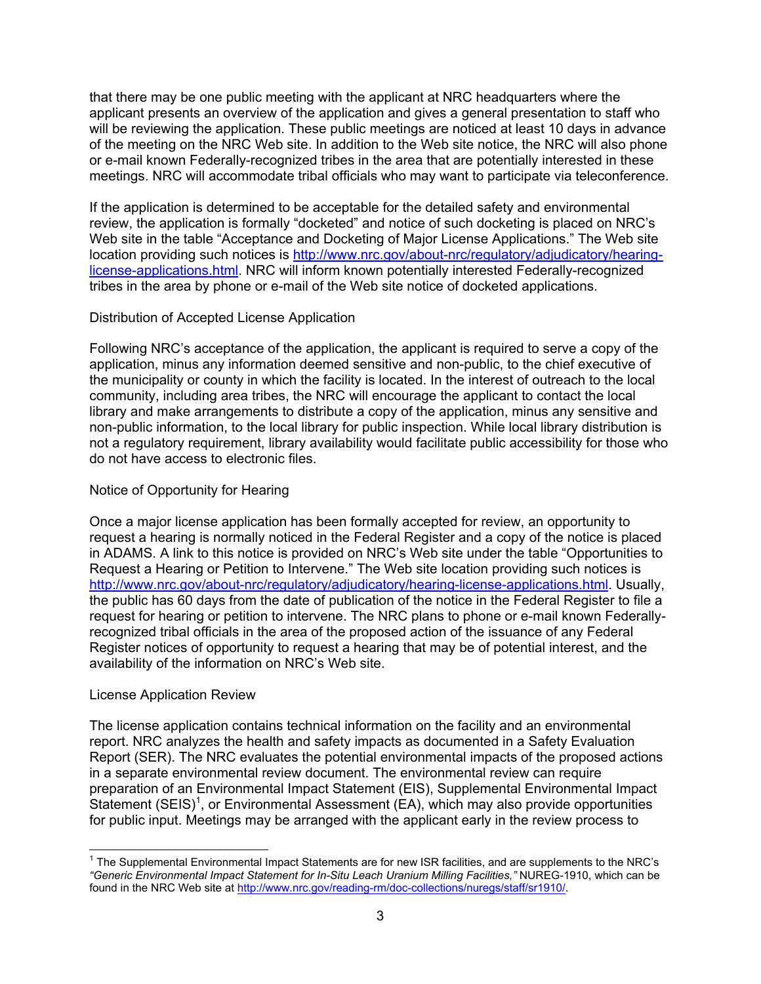that there may be one public meeting with the applicant at NRC headquarters where the applicant presents an overview of the application and gives a general presentation to staff who will be reviewing the application. These public meetings are noticed at least 10 days in advance of the meeting on the NRC Web site. In addition to the Web site notice, the NRC will also phone or e-mail known Federally-recognized tribes in the area that are potentially interested in these meetings. NRC will accommodate tribal officials who may want to participate via teleconference.

If the application is determined to be acceptable for the detailed safety and environmental review, the application is formally "docketed" and notice of such docketing is placed on NRC's Web site in the table "Acceptance and Docketing of Major License Applications." The Web site location providing such notices is http://www.nrc.gov/about-nrc/regulatory/adjudicatory/hearinglicense-applications.html. NRC will inform known potentially interested Federally-recognized tribes in the area by phone or e-mail of the Web site notice of docketed applications.

### Distribution of Accepted License Application

Following NRC's acceptance of the application, the applicant is required to serve a copy of the application, minus any information deemed sensitive and non-public, to the chief executive of the municipality or county in which the facility is located. In the interest of outreach to the local community, including area tribes, the NRC will encourage the applicant to contact the local library and make arrangements to distribute a copy of the application, minus any sensitive and non-public information, to the local library for public inspection. While local library distribution is not a regulatory requirement, library availability would facilitate public accessibility for those who do not have access to electronic files.

## Notice of Opportunity for Hearing

Once a major license application has been formally accepted for review, an opportunity to request a hearing is normally noticed in the Federal Register and a copy of the notice is placed in ADAMS. A link to this notice is provided on NRC's Web site under the table "Opportunities to Request a Hearing or Petition to Intervene." The Web site location providing such notices is http://www.nrc.gov/about-nrc/regulatory/adjudicatory/hearing-license-applications.html. Usually, the public has 60 days from the date of publication of the notice in the Federal Register to file a request for hearing or petition to intervene. The NRC plans to phone or e-mail known Federallyrecognized tribal officials in the area of the proposed action of the issuance of any Federal Register notices of opportunity to request a hearing that may be of potential interest, and the availability of the information on NRC's Web site.

# License Application Review

 $\overline{a}$ 

The license application contains technical information on the facility and an environmental report. NRC analyzes the health and safety impacts as documented in a Safety Evaluation Report (SER). The NRC evaluates the potential environmental impacts of the proposed actions in a separate environmental review document. The environmental review can require preparation of an Environmental Impact Statement (EIS), Supplemental Environmental Impact Statement  $(SEIS)^1$ , or Environmental Assessment (EA), which may also provide opportunities for public input. Meetings may be arranged with the applicant early in the review process to

<sup>&</sup>lt;sup>1</sup> The Supplemental Environmental Impact Statements are for new ISR facilities, and are supplements to the NRC's *"Generic Environmental Impact Statement for In-Situ Leach Uranium Milling Facilities,"* NUREG-1910, which can be found in the NRC Web site at http://www.nrc.gov/reading-rm/doc-collections/nuregs/staff/sr1910/.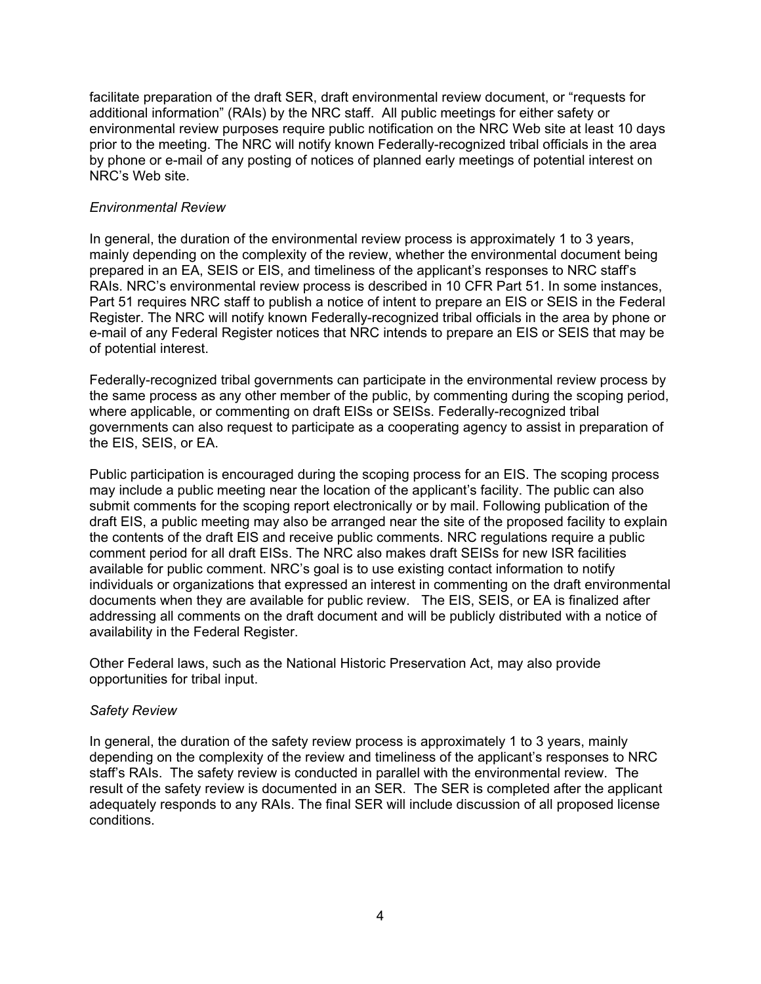facilitate preparation of the draft SER, draft environmental review document, or "requests for additional information" (RAIs) by the NRC staff. All public meetings for either safety or environmental review purposes require public notification on the NRC Web site at least 10 days prior to the meeting. The NRC will notify known Federally-recognized tribal officials in the area by phone or e-mail of any posting of notices of planned early meetings of potential interest on NRC's Web site.

## *Environmental Review*

In general, the duration of the environmental review process is approximately 1 to 3 years, mainly depending on the complexity of the review, whether the environmental document being prepared in an EA, SEIS or EIS, and timeliness of the applicant's responses to NRC staff's RAIs. NRC's environmental review process is described in 10 CFR Part 51. In some instances, Part 51 requires NRC staff to publish a notice of intent to prepare an EIS or SEIS in the Federal Register. The NRC will notify known Federally-recognized tribal officials in the area by phone or e-mail of any Federal Register notices that NRC intends to prepare an EIS or SEIS that may be of potential interest.

Federally-recognized tribal governments can participate in the environmental review process by the same process as any other member of the public, by commenting during the scoping period, where applicable, or commenting on draft EISs or SEISs. Federally-recognized tribal governments can also request to participate as a cooperating agency to assist in preparation of the EIS, SEIS, or EA.

Public participation is encouraged during the scoping process for an EIS. The scoping process may include a public meeting near the location of the applicant's facility. The public can also submit comments for the scoping report electronically or by mail. Following publication of the draft EIS, a public meeting may also be arranged near the site of the proposed facility to explain the contents of the draft EIS and receive public comments. NRC regulations require a public comment period for all draft EISs. The NRC also makes draft SEISs for new ISR facilities available for public comment. NRC's goal is to use existing contact information to notify individuals or organizations that expressed an interest in commenting on the draft environmental documents when they are available for public review. The EIS, SEIS, or EA is finalized after addressing all comments on the draft document and will be publicly distributed with a notice of availability in the Federal Register.

Other Federal laws, such as the National Historic Preservation Act, may also provide opportunities for tribal input.

#### *Safety Review*

In general, the duration of the safety review process is approximately 1 to 3 years, mainly depending on the complexity of the review and timeliness of the applicant's responses to NRC staff's RAIs. The safety review is conducted in parallel with the environmental review. The result of the safety review is documented in an SER. The SER is completed after the applicant adequately responds to any RAIs. The final SER will include discussion of all proposed license conditions.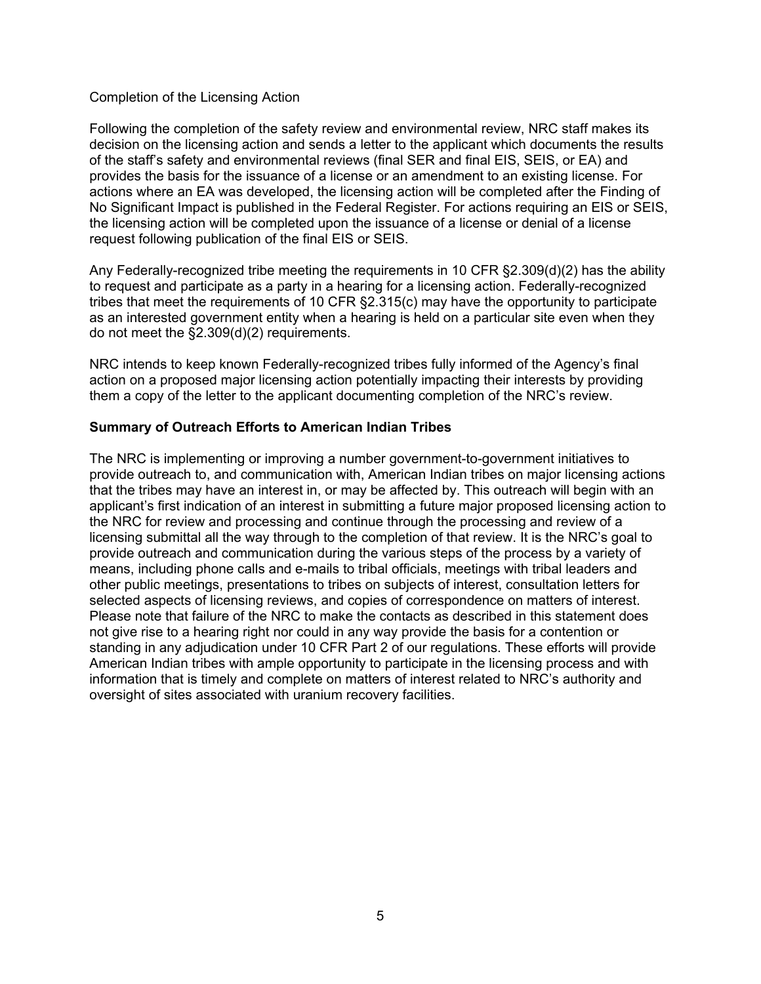### Completion of the Licensing Action

Following the completion of the safety review and environmental review, NRC staff makes its decision on the licensing action and sends a letter to the applicant which documents the results of the staff's safety and environmental reviews (final SER and final EIS, SEIS, or EA) and provides the basis for the issuance of a license or an amendment to an existing license. For actions where an EA was developed, the licensing action will be completed after the Finding of No Significant Impact is published in the Federal Register. For actions requiring an EIS or SEIS, the licensing action will be completed upon the issuance of a license or denial of a license request following publication of the final EIS or SEIS.

Any Federally-recognized tribe meeting the requirements in 10 CFR §2.309(d)(2) has the ability to request and participate as a party in a hearing for a licensing action. Federally-recognized tribes that meet the requirements of 10 CFR §2.315(c) may have the opportunity to participate as an interested government entity when a hearing is held on a particular site even when they do not meet the §2.309(d)(2) requirements.

NRC intends to keep known Federally-recognized tribes fully informed of the Agency's final action on a proposed major licensing action potentially impacting their interests by providing them a copy of the letter to the applicant documenting completion of the NRC's review.

### **Summary of Outreach Efforts to American Indian Tribes**

The NRC is implementing or improving a number government-to-government initiatives to provide outreach to, and communication with, American Indian tribes on major licensing actions that the tribes may have an interest in, or may be affected by. This outreach will begin with an applicant's first indication of an interest in submitting a future major proposed licensing action to the NRC for review and processing and continue through the processing and review of a licensing submittal all the way through to the completion of that review. It is the NRC's goal to provide outreach and communication during the various steps of the process by a variety of means, including phone calls and e-mails to tribal officials, meetings with tribal leaders and other public meetings, presentations to tribes on subjects of interest, consultation letters for selected aspects of licensing reviews, and copies of correspondence on matters of interest. Please note that failure of the NRC to make the contacts as described in this statement does not give rise to a hearing right nor could in any way provide the basis for a contention or standing in any adjudication under 10 CFR Part 2 of our regulations. These efforts will provide American Indian tribes with ample opportunity to participate in the licensing process and with information that is timely and complete on matters of interest related to NRC's authority and oversight of sites associated with uranium recovery facilities.